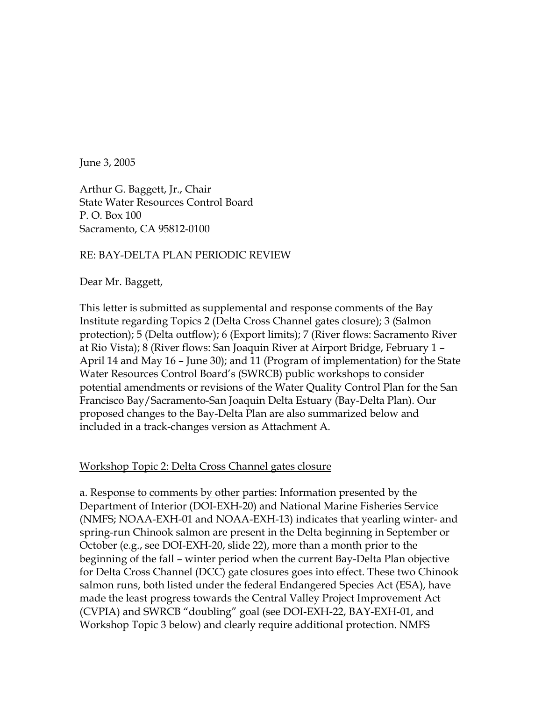June 3, 2005

Arthur G. Baggett, Jr., Chair State Water Resources Control Board P. O. Box 100 Sacramento, CA 95812-0100

## RE: BAY-DELTA PLAN PERIODIC REVIEW

Dear Mr. Baggett,

This letter is submitted as supplemental and response comments of the Bay Institute regarding Topics 2 (Delta Cross Channel gates closure); 3 (Salmon protection); 5 (Delta outflow); 6 (Export limits); 7 (River flows: Sacramento River at Rio Vista); 8 (River flows: San Joaquin River at Airport Bridge, February 1 – April 14 and May 16 – June 30); and 11 (Program of implementation) for the State Water Resources Control Board's (SWRCB) public workshops to consider potential amendments or revisions of the Water Quality Control Plan for the San Francisco Bay/Sacramento-San Joaquin Delta Estuary (Bay-Delta Plan). Our proposed changes to the Bay-Delta Plan are also summarized below and included in a track-changes version as Attachment A.

Workshop Topic 2: Delta Cross Channel gates closure

a. Response to comments by other parties: Information presented by the Department of Interior (DOI-EXH-20) and National Marine Fisheries Service (NMFS; NOAA-EXH-01 and NOAA-EXH-13) indicates that yearling winter- and spring-run Chinook salmon are present in the Delta beginning in September or October (e.g., see DOI-EXH-20, slide 22), more than a month prior to the beginning of the fall – winter period when the current Bay-Delta Plan objective for Delta Cross Channel (DCC) gate closures goes into effect. These two Chinook salmon runs, both listed under the federal Endangered Species Act (ESA), have made the least progress towards the Central Valley Project Improvement Act (CVPIA) and SWRCB "doubling" goal (see DOI-EXH-22, BAY-EXH-01, and Workshop Topic 3 below) and clearly require additional protection. NMFS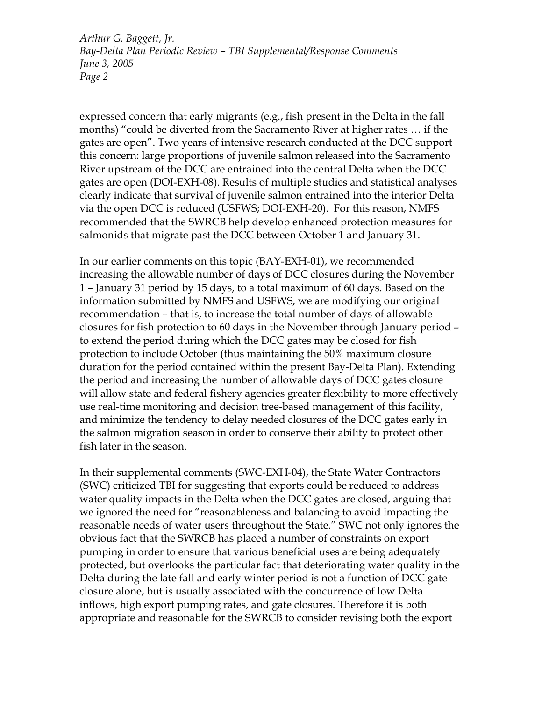expressed concern that early migrants (e.g., fish present in the Delta in the fall months) "could be diverted from the Sacramento River at higher rates … if the gates are open". Two years of intensive research conducted at the DCC support this concern: large proportions of juvenile salmon released into the Sacramento River upstream of the DCC are entrained into the central Delta when the DCC gates are open (DOI-EXH-08). Results of multiple studies and statistical analyses clearly indicate that survival of juvenile salmon entrained into the interior Delta via the open DCC is reduced (USFWS; DOI-EXH-20). For this reason, NMFS recommended that the SWRCB help develop enhanced protection measures for salmonids that migrate past the DCC between October 1 and January 31.

In our earlier comments on this topic (BAY-EXH-01), we recommended increasing the allowable number of days of DCC closures during the November 1 – January 31 period by 15 days, to a total maximum of 60 days. Based on the information submitted by NMFS and USFWS, we are modifying our original recommendation – that is, to increase the total number of days of allowable closures for fish protection to 60 days in the November through January period – to extend the period during which the DCC gates may be closed for fish protection to include October (thus maintaining the 50% maximum closure duration for the period contained within the present Bay-Delta Plan). Extending the period and increasing the number of allowable days of DCC gates closure will allow state and federal fishery agencies greater flexibility to more effectively use real-time monitoring and decision tree-based management of this facility, and minimize the tendency to delay needed closures of the DCC gates early in the salmon migration season in order to conserve their ability to protect other fish later in the season.

In their supplemental comments (SWC-EXH-04), the State Water Contractors (SWC) criticized TBI for suggesting that exports could be reduced to address water quality impacts in the Delta when the DCC gates are closed, arguing that we ignored the need for "reasonableness and balancing to avoid impacting the reasonable needs of water users throughout the State." SWC not only ignores the obvious fact that the SWRCB has placed a number of constraints on export pumping in order to ensure that various beneficial uses are being adequately protected, but overlooks the particular fact that deteriorating water quality in the Delta during the late fall and early winter period is not a function of DCC gate closure alone, but is usually associated with the concurrence of low Delta inflows, high export pumping rates, and gate closures. Therefore it is both appropriate and reasonable for the SWRCB to consider revising both the export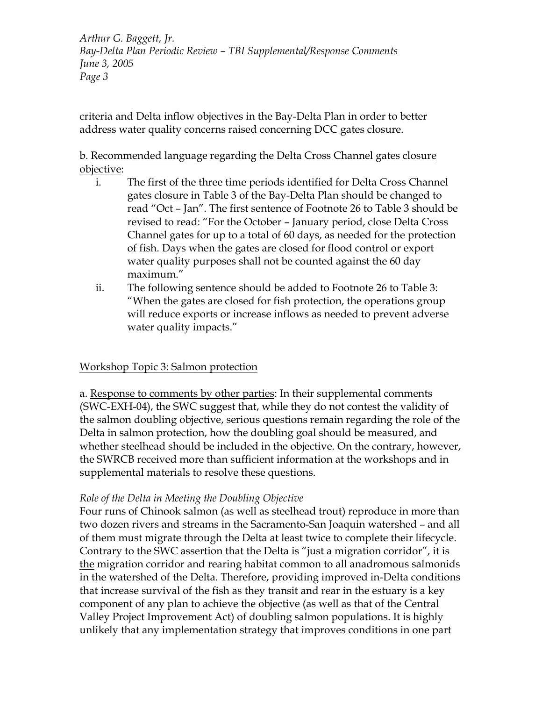criteria and Delta inflow objectives in the Bay-Delta Plan in order to better address water quality concerns raised concerning DCC gates closure.

# b. Recommended language regarding the Delta Cross Channel gates closure objective:

- i. The first of the three time periods identified for Delta Cross Channel gates closure in Table 3 of the Bay-Delta Plan should be changed to read "Oct – Jan". The first sentence of Footnote 26 to Table 3 should be revised to read: "For the October – January period, close Delta Cross Channel gates for up to a total of 60 days, as needed for the protection of fish. Days when the gates are closed for flood control or export water quality purposes shall not be counted against the 60 day maximum."
- ii. The following sentence should be added to Footnote 26 to Table 3: "When the gates are closed for fish protection, the operations group will reduce exports or increase inflows as needed to prevent adverse water quality impacts."

# Workshop Topic 3: Salmon protection

a. Response to comments by other parties: In their supplemental comments (SWC-EXH-04), the SWC suggest that, while they do not contest the validity of the salmon doubling objective, serious questions remain regarding the role of the Delta in salmon protection, how the doubling goal should be measured, and whether steelhead should be included in the objective. On the contrary, however, the SWRCB received more than sufficient information at the workshops and in supplemental materials to resolve these questions.

## *Role of the Delta in Meeting the Doubling Objective*

Four runs of Chinook salmon (as well as steelhead trout) reproduce in more than two dozen rivers and streams in the Sacramento-San Joaquin watershed – and all of them must migrate through the Delta at least twice to complete their lifecycle. Contrary to the SWC assertion that the Delta is "just a migration corridor", it is the migration corridor and rearing habitat common to all anadromous salmonids in the watershed of the Delta. Therefore, providing improved in-Delta conditions that increase survival of the fish as they transit and rear in the estuary is a key component of any plan to achieve the objective (as well as that of the Central Valley Project Improvement Act) of doubling salmon populations. It is highly unlikely that any implementation strategy that improves conditions in one part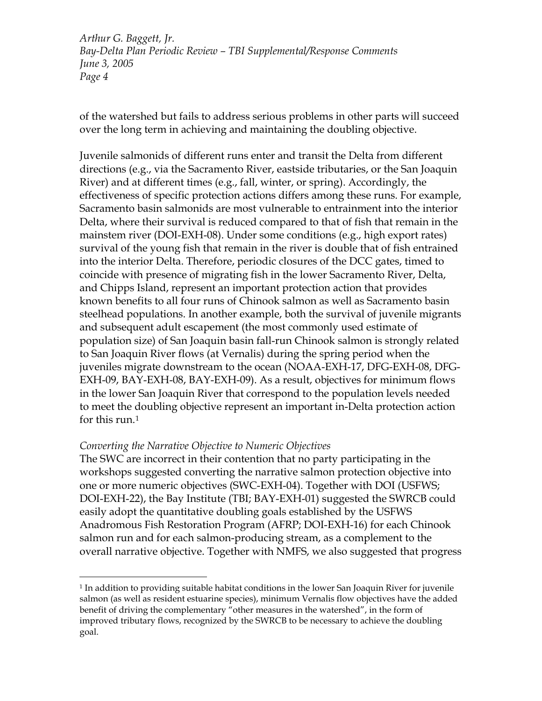of the watershed but fails to address serious problems in other parts will succeed over the long term in achieving and maintaining the doubling objective.

Juvenile salmonids of different runs enter and transit the Delta from different directions (e.g., via the Sacramento River, eastside tributaries, or the San Joaquin River) and at different times (e.g., fall, winter, or spring). Accordingly, the effectiveness of specific protection actions differs among these runs. For example, Sacramento basin salmonids are most vulnerable to entrainment into the interior Delta, where their survival is reduced compared to that of fish that remain in the mainstem river (DOI-EXH-08). Under some conditions (e.g., high export rates) survival of the young fish that remain in the river is double that of fish entrained into the interior Delta. Therefore, periodic closures of the DCC gates, timed to coincide with presence of migrating fish in the lower Sacramento River, Delta, and Chipps Island, represent an important protection action that provides known benefits to all four runs of Chinook salmon as well as Sacramento basin steelhead populations. In another example, both the survival of juvenile migrants and subsequent adult escapement (the most commonly used estimate of population size) of San Joaquin basin fall-run Chinook salmon is strongly related to San Joaquin River flows (at Vernalis) during the spring period when the juveniles migrate downstream to the ocean (NOAA-EXH-17, DFG-EXH-08, DFG-EXH-09, BAY-EXH-08, BAY-EXH-09). As a result, objectives for minimum flows in the lower San Joaquin River that correspond to the population levels needed to meet the doubling objective represent an important in-Delta protection action for this run.<sup>[1](#page-3-0)</sup>

#### *Converting the Narrative Objective to Numeric Objectives*

 $\overline{a}$ 

The SWC are incorrect in their contention that no party participating in the workshops suggested converting the narrative salmon protection objective into one or more numeric objectives (SWC-EXH-04). Together with DOI (USFWS; DOI-EXH-22), the Bay Institute (TBI; BAY-EXH-01) suggested the SWRCB could easily adopt the quantitative doubling goals established by the USFWS Anadromous Fish Restoration Program (AFRP; DOI-EXH-16) for each Chinook salmon run and for each salmon-producing stream, as a complement to the overall narrative objective. Together with NMFS, we also suggested that progress

<span id="page-3-0"></span><sup>&</sup>lt;sup>1</sup> In addition to providing suitable habitat conditions in the lower San Joaquin River for juvenile salmon (as well as resident estuarine species), minimum Vernalis flow objectives have the added benefit of driving the complementary "other measures in the watershed", in the form of improved tributary flows, recognized by the SWRCB to be necessary to achieve the doubling goal.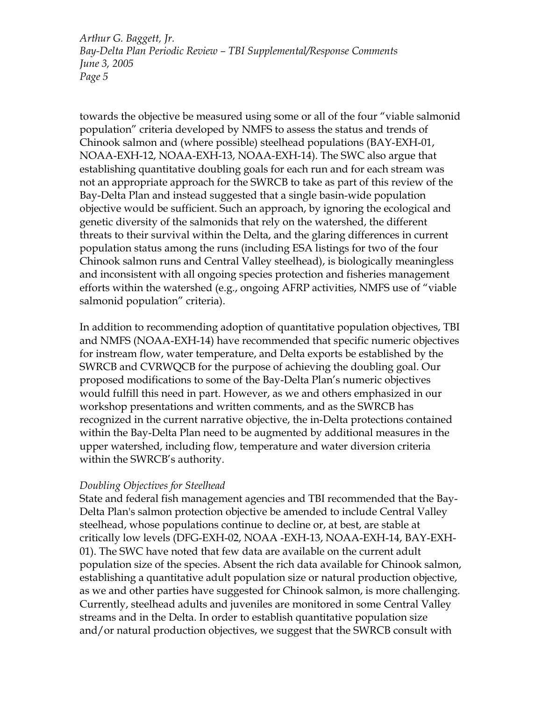towards the objective be measured using some or all of the four "viable salmonid population" criteria developed by NMFS to assess the status and trends of Chinook salmon and (where possible) steelhead populations (BAY-EXH-01, NOAA-EXH-12, NOAA-EXH-13, NOAA-EXH-14). The SWC also argue that establishing quantitative doubling goals for each run and for each stream was not an appropriate approach for the SWRCB to take as part of this review of the Bay-Delta Plan and instead suggested that a single basin-wide population objective would be sufficient. Such an approach, by ignoring the ecological and genetic diversity of the salmonids that rely on the watershed, the different threats to their survival within the Delta, and the glaring differences in current population status among the runs (including ESA listings for two of the four Chinook salmon runs and Central Valley steelhead), is biologically meaningless and inconsistent with all ongoing species protection and fisheries management efforts within the watershed (e.g., ongoing AFRP activities, NMFS use of "viable salmonid population" criteria).

In addition to recommending adoption of quantitative population objectives, TBI and NMFS (NOAA-EXH-14) have recommended that specific numeric objectives for instream flow, water temperature, and Delta exports be established by the SWRCB and CVRWQCB for the purpose of achieving the doubling goal. Our proposed modifications to some of the Bay-Delta Plan's numeric objectives would fulfill this need in part. However, as we and others emphasized in our workshop presentations and written comments, and as the SWRCB has recognized in the current narrative objective, the in-Delta protections contained within the Bay-Delta Plan need to be augmented by additional measures in the upper watershed, including flow, temperature and water diversion criteria within the SWRCB's authority.

## *Doubling Objectives for Steelhead*

State and federal fish management agencies and TBI recommended that the Bay-Delta Plan's salmon protection objective be amended to include Central Valley steelhead, whose populations continue to decline or, at best, are stable at critically low levels (DFG-EXH-02, NOAA -EXH-13, NOAA-EXH-14, BAY-EXH-01). The SWC have noted that few data are available on the current adult population size of the species. Absent the rich data available for Chinook salmon, establishing a quantitative adult population size or natural production objective, as we and other parties have suggested for Chinook salmon, is more challenging. Currently, steelhead adults and juveniles are monitored in some Central Valley streams and in the Delta. In order to establish quantitative population size and/or natural production objectives, we suggest that the SWRCB consult with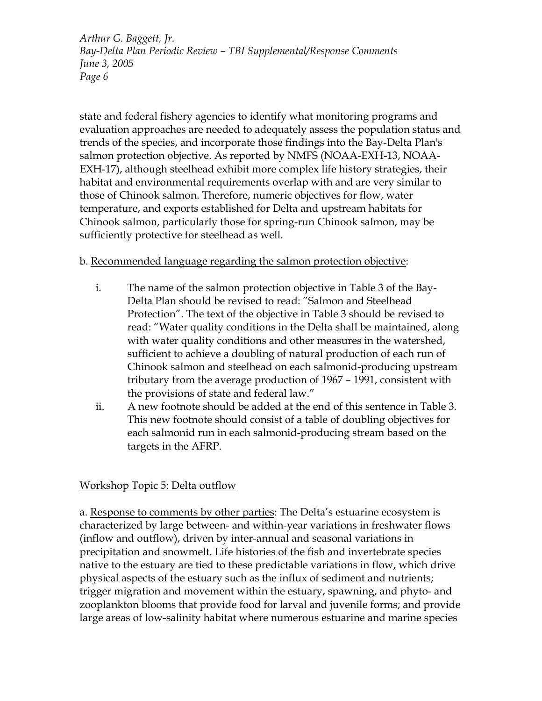state and federal fishery agencies to identify what monitoring programs and evaluation approaches are needed to adequately assess the population status and trends of the species, and incorporate those findings into the Bay-Delta Plan's salmon protection objective. As reported by NMFS (NOAA-EXH-13, NOAA-EXH-17), although steelhead exhibit more complex life history strategies, their habitat and environmental requirements overlap with and are very similar to those of Chinook salmon. Therefore, numeric objectives for flow, water temperature, and exports established for Delta and upstream habitats for Chinook salmon, particularly those for spring-run Chinook salmon, may be sufficiently protective for steelhead as well.

# b. Recommended language regarding the salmon protection objective:

- i. The name of the salmon protection objective in Table 3 of the Bay-Delta Plan should be revised to read: "Salmon and Steelhead Protection". The text of the objective in Table 3 should be revised to read: "Water quality conditions in the Delta shall be maintained, along with water quality conditions and other measures in the watershed, sufficient to achieve a doubling of natural production of each run of Chinook salmon and steelhead on each salmonid-producing upstream tributary from the average production of 1967 – 1991, consistent with the provisions of state and federal law."
- ii. A new footnote should be added at the end of this sentence in Table 3. This new footnote should consist of a table of doubling objectives for each salmonid run in each salmonid-producing stream based on the targets in the AFRP.

# Workshop Topic 5: Delta outflow

a. Response to comments by other parties: The Delta's estuarine ecosystem is characterized by large between- and within-year variations in freshwater flows (inflow and outflow), driven by inter-annual and seasonal variations in precipitation and snowmelt. Life histories of the fish and invertebrate species native to the estuary are tied to these predictable variations in flow, which drive physical aspects of the estuary such as the influx of sediment and nutrients; trigger migration and movement within the estuary, spawning, and phyto- and zooplankton blooms that provide food for larval and juvenile forms; and provide large areas of low-salinity habitat where numerous estuarine and marine species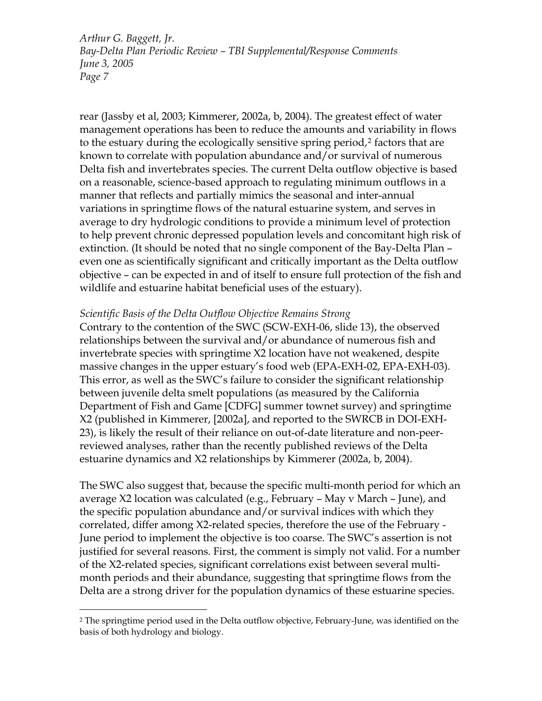rear (Jassby et al, 2003; Kimmerer, 2002a, b, 2004). The greatest effect of water management operations has been to reduce the amounts and variability in flows to the estuary during the ecologically sensitive spring period,<sup>[2](#page-6-0)</sup> factors that are known to correlate with population abundance and/or survival of numerous Delta fish and invertebrates species. The current Delta outflow objective is based on a reasonable, science-based approach to regulating minimum outflows in a manner that reflects and partially mimics the seasonal and inter-annual variations in springtime flows of the natural estuarine system, and serves in average to dry hydrologic conditions to provide a minimum level of protection to help prevent chronic depressed population levels and concomitant high risk of extinction. (It should be noted that no single component of the Bay-Delta Plan – even one as scientifically significant and critically important as the Delta outflow objective – can be expected in and of itself to ensure full protection of the fish and wildlife and estuarine habitat beneficial uses of the estuary).

#### *Scientific Basis of the Delta Outflow Objective Remains Strong*

Contrary to the contention of the SWC (SCW-EXH-06, slide 13), the observed relationships between the survival and/or abundance of numerous fish and invertebrate species with springtime X2 location have not weakened, despite massive changes in the upper estuary's food web (EPA-EXH-02, EPA-EXH-03). This error, as well as the SWC's failure to consider the significant relationship between juvenile delta smelt populations (as measured by the California Department of Fish and Game [CDFG] summer townet survey) and springtime X2 (published in Kimmerer, [2002a], and reported to the SWRCB in DOI-EXH-23), is likely the result of their reliance on out-of-date literature and non-peerreviewed analyses, rather than the recently published reviews of the Delta estuarine dynamics and X2 relationships by Kimmerer (2002a, b, 2004).

The SWC also suggest that, because the specific multi-month period for which an average X2 location was calculated (e.g., February – May v March – June), and the specific population abundance and/or survival indices with which they correlated, differ among X2-related species, therefore the use of the February - June period to implement the objective is too coarse. The SWC's assertion is not justified for several reasons. First, the comment is simply not valid. For a number of the X2-related species, significant correlations exist between several multimonth periods and their abundance, suggesting that springtime flows from the Delta are a strong driver for the population dynamics of these estuarine species.

 $\overline{a}$ 

<span id="page-6-0"></span><sup>2</sup> The springtime period used in the Delta outflow objective, February-June, was identified on the basis of both hydrology and biology.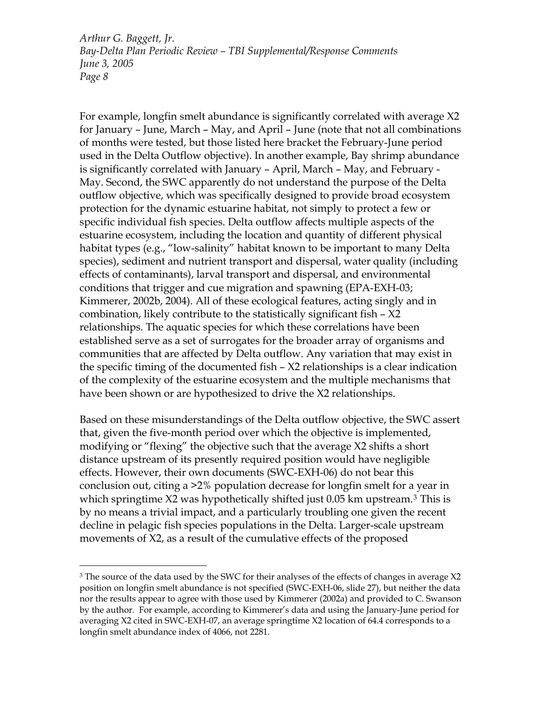For example, longfin smelt abundance is significantly correlated with average X2 for January – June, March – May, and April – June (note that not all combinations of months were tested, but those listed here bracket the February-June period used in the Delta Outflow objective). In another example, Bay shrimp abundance is significantly correlated with January – April, March – May, and February - May. Second, the SWC apparently do not understand the purpose of the Delta outflow objective, which was specifically designed to provide broad ecosystem protection for the dynamic estuarine habitat, not simply to protect a few or specific individual fish species. Delta outflow affects multiple aspects of the estuarine ecosystem, including the location and quantity of different physical habitat types (e.g., "low-salinity" habitat known to be important to many Delta species), sediment and nutrient transport and dispersal, water quality (including effects of contaminants), larval transport and dispersal, and environmental conditions that trigger and cue migration and spawning (EPA-EXH-03; Kimmerer, 2002b, 2004). All of these ecological features, acting singly and in combination, likely contribute to the statistically significant fish – X2 relationships. The aquatic species for which these correlations have been established serve as a set of surrogates for the broader array of organisms and communities that are affected by Delta outflow. Any variation that may exist in the specific timing of the documented fish – X2 relationships is a clear indication of the complexity of the estuarine ecosystem and the multiple mechanisms that have been shown or are hypothesized to drive the X2 relationships.

Based on these misunderstandings of the Delta outflow objective, the SWC assert that, given the five-month period over which the objective is implemented, modifying or "flexing" the objective such that the average X2 shifts a short distance upstream of its presently required position would have negligible effects. However, their own documents (SWC-EXH-06) do not bear this conclusion out, citing a >2% population decrease for longfin smelt for a year in which springtime X2 was hypothetically shifted just 0.05 km upstream.<sup>[3](#page-7-0)</sup> This is by no means a trivial impact, and a particularly troubling one given the recent decline in pelagic fish species populations in the Delta. Larger-scale upstream movements of X2, as a result of the cumulative effects of the proposed

 $\overline{a}$ 

<span id="page-7-0"></span><sup>&</sup>lt;sup>3</sup> The source of the data used by the SWC for their analyses of the effects of changes in average X2 position on longfin smelt abundance is not specified (SWC-EXH-06, slide 27), but neither the data nor the results appear to agree with those used by Kimmerer (2002a) and provided to C. Swanson by the author. For example, according to Kimmerer's data and using the January-June period for averaging X2 cited in SWC-EXH-07, an average springtime X2 location of 64.4 corresponds to a longfin smelt abundance index of 4066, not 2281.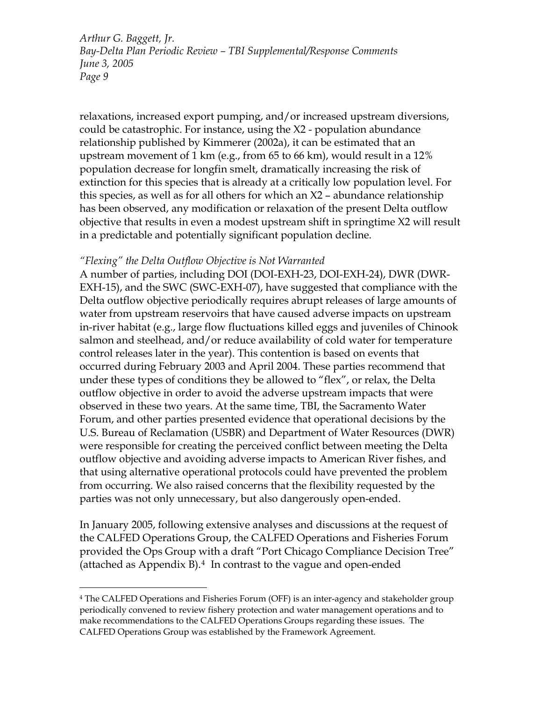relaxations, increased export pumping, and/or increased upstream diversions, could be catastrophic. For instance, using the X2 - population abundance relationship published by Kimmerer (2002a), it can be estimated that an upstream movement of 1 km (e.g., from 65 to 66 km), would result in a 12% population decrease for longfin smelt, dramatically increasing the risk of extinction for this species that is already at a critically low population level. For this species, as well as for all others for which an X2 – abundance relationship has been observed, any modification or relaxation of the present Delta outflow objective that results in even a modest upstream shift in springtime X2 will result in a predictable and potentially significant population decline.

### *"Flexing" the Delta Outflow Objective is Not Warranted*

 $\overline{a}$ 

A number of parties, including DOI (DOI-EXH-23, DOI-EXH-24), DWR (DWR-EXH-15), and the SWC (SWC-EXH-07), have suggested that compliance with the Delta outflow objective periodically requires abrupt releases of large amounts of water from upstream reservoirs that have caused adverse impacts on upstream in-river habitat (e.g., large flow fluctuations killed eggs and juveniles of Chinook salmon and steelhead, and/or reduce availability of cold water for temperature control releases later in the year). This contention is based on events that occurred during February 2003 and April 2004. These parties recommend that under these types of conditions they be allowed to "flex", or relax, the Delta outflow objective in order to avoid the adverse upstream impacts that were observed in these two years. At the same time, TBI, the Sacramento Water Forum, and other parties presented evidence that operational decisions by the U.S. Bureau of Reclamation (USBR) and Department of Water Resources (DWR) were responsible for creating the perceived conflict between meeting the Delta outflow objective and avoiding adverse impacts to American River fishes, and that using alternative operational protocols could have prevented the problem from occurring. We also raised concerns that the flexibility requested by the parties was not only unnecessary, but also dangerously open-ended.

In January 2005, following extensive analyses and discussions at the request of the CALFED Operations Group, the CALFED Operations and Fisheries Forum provided the Ops Group with a draft "Port Chicago Compliance Decision Tree" (attached as Appendix  $B$ ).<sup>[4](#page-8-0)</sup> In contrast to the vague and open-ended

<span id="page-8-0"></span><sup>4</sup> The CALFED Operations and Fisheries Forum (OFF) is an inter-agency and stakeholder group periodically convened to review fishery protection and water management operations and to make recommendations to the CALFED Operations Groups regarding these issues. The CALFED Operations Group was established by the Framework Agreement.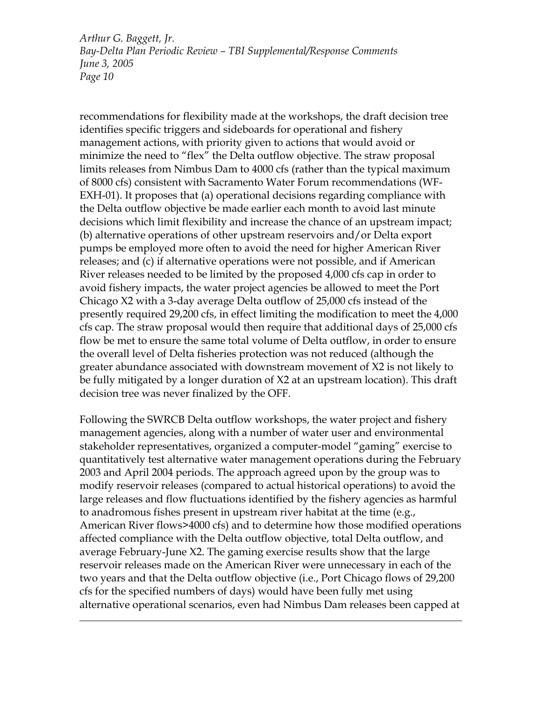recommendations for flexibility made at the workshops, the draft decision tree identifies specific triggers and sideboards for operational and fishery management actions, with priority given to actions that would avoid or minimize the need to "flex" the Delta outflow objective. The straw proposal limits releases from Nimbus Dam to 4000 cfs (rather than the typical maximum of 8000 cfs) consistent with Sacramento Water Forum recommendations (WF-EXH-01). It proposes that (a) operational decisions regarding compliance with the Delta outflow objective be made earlier each month to avoid last minute decisions which limit flexibility and increase the chance of an upstream impact; (b) alternative operations of other upstream reservoirs and/or Delta export pumps be employed more often to avoid the need for higher American River releases; and (c) if alternative operations were not possible, and if American River releases needed to be limited by the proposed 4,000 cfs cap in order to avoid fishery impacts, the water project agencies be allowed to meet the Port Chicago X2 with a 3-day average Delta outflow of 25,000 cfs instead of the presently required 29,200 cfs, in effect limiting the modification to meet the 4,000 cfs cap. The straw proposal would then require that additional days of 25,000 cfs flow be met to ensure the same total volume of Delta outflow, in order to ensure the overall level of Delta fisheries protection was not reduced (although the greater abundance associated with downstream movement of X2 is not likely to be fully mitigated by a longer duration of X2 at an upstream location). This draft decision tree was never finalized by the OFF.

Following the SWRCB Delta outflow workshops, the water project and fishery management agencies, along with a number of water user and environmental stakeholder representatives, organized a computer-model "gaming" exercise to quantitatively test alternative water management operations during the February 2003 and April 2004 periods. The approach agreed upon by the group was to modify reservoir releases (compared to actual historical operations) to avoid the large releases and flow fluctuations identified by the fishery agencies as harmful to anadromous fishes present in upstream river habitat at the time (e.g., American River flows>4000 cfs) and to determine how those modified operations affected compliance with the Delta outflow objective, total Delta outflow, and average February-June X2. The gaming exercise results show that the large reservoir releases made on the American River were unnecessary in each of the two years and that the Delta outflow objective (i.e., Port Chicago flows of 29,200 cfs for the specified numbers of days) would have been fully met using alternative operational scenarios, even had Nimbus Dam releases been capped at

 $\overline{a}$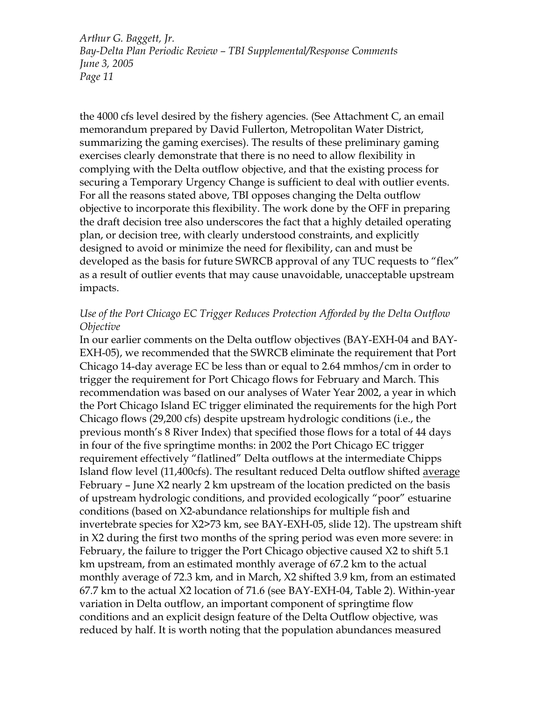the 4000 cfs level desired by the fishery agencies. (See Attachment C, an email memorandum prepared by David Fullerton, Metropolitan Water District, summarizing the gaming exercises). The results of these preliminary gaming exercises clearly demonstrate that there is no need to allow flexibility in complying with the Delta outflow objective, and that the existing process for securing a Temporary Urgency Change is sufficient to deal with outlier events. For all the reasons stated above, TBI opposes changing the Delta outflow objective to incorporate this flexibility. The work done by the OFF in preparing the draft decision tree also underscores the fact that a highly detailed operating plan, or decision tree, with clearly understood constraints, and explicitly designed to avoid or minimize the need for flexibility, can and must be developed as the basis for future SWRCB approval of any TUC requests to "flex" as a result of outlier events that may cause unavoidable, unacceptable upstream impacts.

### *Use of the Port Chicago EC Trigger Reduces Protection Afforded by the Delta Outflow Objective*

In our earlier comments on the Delta outflow objectives (BAY-EXH-04 and BAY-EXH-05), we recommended that the SWRCB eliminate the requirement that Port Chicago 14-day average EC be less than or equal to 2.64 mmhos/cm in order to trigger the requirement for Port Chicago flows for February and March. This recommendation was based on our analyses of Water Year 2002, a year in which the Port Chicago Island EC trigger eliminated the requirements for the high Port Chicago flows (29,200 cfs) despite upstream hydrologic conditions (i.e., the previous month's 8 River Index) that specified those flows for a total of 44 days in four of the five springtime months: in 2002 the Port Chicago EC trigger requirement effectively "flatlined" Delta outflows at the intermediate Chipps Island flow level (11,400cfs). The resultant reduced Delta outflow shifted average February – June X2 nearly 2 km upstream of the location predicted on the basis of upstream hydrologic conditions, and provided ecologically "poor" estuarine conditions (based on X2-abundance relationships for multiple fish and invertebrate species for X2>73 km, see BAY-EXH-05, slide 12). The upstream shift in X2 during the first two months of the spring period was even more severe: in February, the failure to trigger the Port Chicago objective caused X2 to shift 5.1 km upstream, from an estimated monthly average of 67.2 km to the actual monthly average of 72.3 km, and in March, X2 shifted 3.9 km, from an estimated 67.7 km to the actual X2 location of 71.6 (see BAY-EXH-04, Table 2). Within-year variation in Delta outflow, an important component of springtime flow conditions and an explicit design feature of the Delta Outflow objective, was reduced by half. It is worth noting that the population abundances measured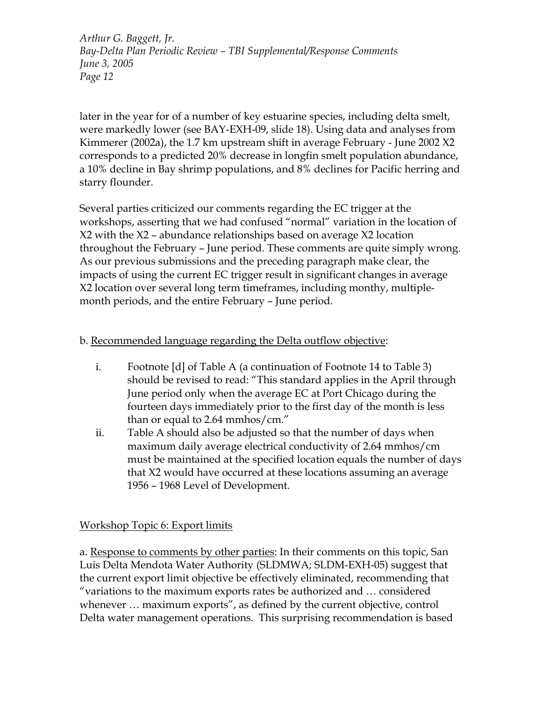later in the year for of a number of key estuarine species, including delta smelt, were markedly lower (see BAY-EXH-09, slide 18). Using data and analyses from Kimmerer (2002a), the 1.7 km upstream shift in average February - June 2002 X2 corresponds to a predicted 20% decrease in longfin smelt population abundance, a 10% decline in Bay shrimp populations, and 8% declines for Pacific herring and starry flounder.

Several parties criticized our comments regarding the EC trigger at the workshops, asserting that we had confused "normal" variation in the location of X2 with the X2 – abundance relationships based on average X2 location throughout the February – June period. These comments are quite simply wrong. As our previous submissions and the preceding paragraph make clear, the impacts of using the current EC trigger result in significant changes in average X2 location over several long term timeframes, including monthy, multiplemonth periods, and the entire February – June period.

# b. Recommended language regarding the Delta outflow objective:

- i. Footnote [d] of Table A (a continuation of Footnote 14 to Table 3) should be revised to read: "This standard applies in the April through June period only when the average EC at Port Chicago during the fourteen days immediately prior to the first day of the month is less than or equal to 2.64 mmhos/cm."
- ii. Table A should also be adjusted so that the number of days when maximum daily average electrical conductivity of 2.64 mmhos/cm must be maintained at the specified location equals the number of days that X2 would have occurred at these locations assuming an average 1956 – 1968 Level of Development.

# Workshop Topic 6: Export limits

a. Response to comments by other parties: In their comments on this topic, San Luis Delta Mendota Water Authority (SLDMWA; SLDM-EXH-05) suggest that the current export limit objective be effectively eliminated, recommending that "variations to the maximum exports rates be authorized and … considered whenever … maximum exports", as defined by the current objective, control Delta water management operations. This surprising recommendation is based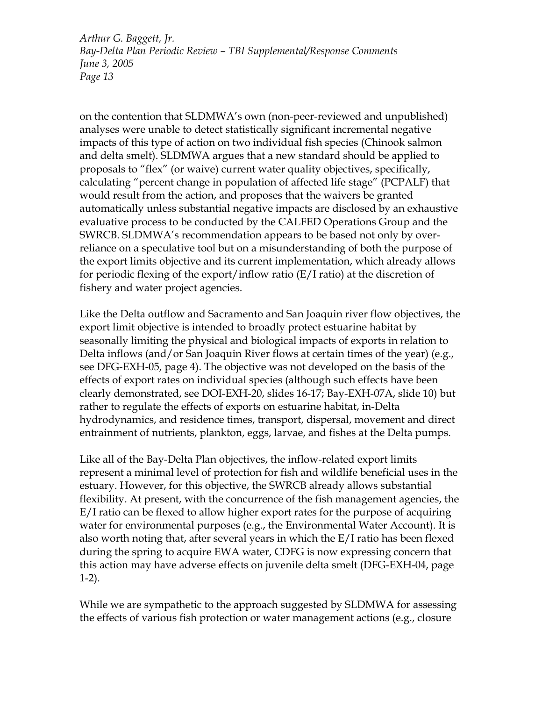on the contention that SLDMWA's own (non-peer-reviewed and unpublished) analyses were unable to detect statistically significant incremental negative impacts of this type of action on two individual fish species (Chinook salmon and delta smelt). SLDMWA argues that a new standard should be applied to proposals to "flex" (or waive) current water quality objectives, specifically, calculating "percent change in population of affected life stage" (PCPALF) that would result from the action, and proposes that the waivers be granted automatically unless substantial negative impacts are disclosed by an exhaustive evaluative process to be conducted by the CALFED Operations Group and the SWRCB. SLDMWA's recommendation appears to be based not only by overreliance on a speculative tool but on a misunderstanding of both the purpose of the export limits objective and its current implementation, which already allows for periodic flexing of the export/inflow ratio (E/I ratio) at the discretion of fishery and water project agencies.

Like the Delta outflow and Sacramento and San Joaquin river flow objectives, the export limit objective is intended to broadly protect estuarine habitat by seasonally limiting the physical and biological impacts of exports in relation to Delta inflows (and/or San Joaquin River flows at certain times of the year) (e.g., see DFG-EXH-05, page 4). The objective was not developed on the basis of the effects of export rates on individual species (although such effects have been clearly demonstrated, see DOI-EXH-20, slides 16-17; Bay-EXH-07A, slide 10) but rather to regulate the effects of exports on estuarine habitat, in-Delta hydrodynamics, and residence times, transport, dispersal, movement and direct entrainment of nutrients, plankton, eggs, larvae, and fishes at the Delta pumps.

Like all of the Bay-Delta Plan objectives, the inflow-related export limits represent a minimal level of protection for fish and wildlife beneficial uses in the estuary. However, for this objective, the SWRCB already allows substantial flexibility. At present, with the concurrence of the fish management agencies, the E/I ratio can be flexed to allow higher export rates for the purpose of acquiring water for environmental purposes (e.g., the Environmental Water Account). It is also worth noting that, after several years in which the E/I ratio has been flexed during the spring to acquire EWA water, CDFG is now expressing concern that this action may have adverse effects on juvenile delta smelt (DFG-EXH-04, page 1-2).

While we are sympathetic to the approach suggested by SLDMWA for assessing the effects of various fish protection or water management actions (e.g., closure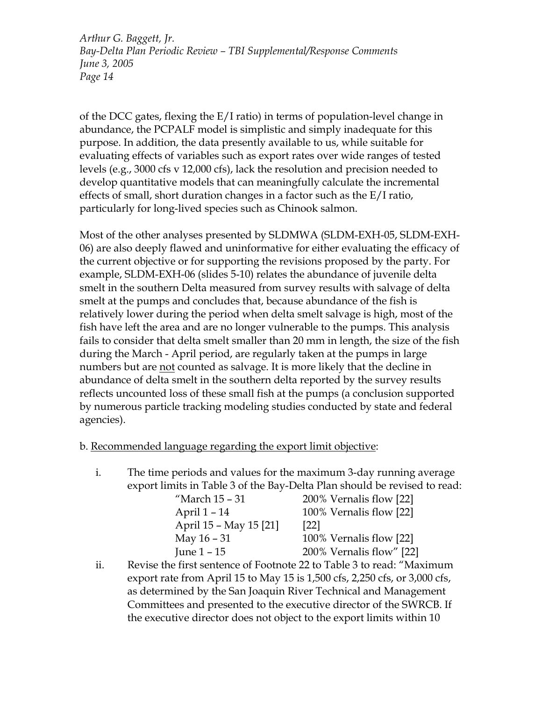of the DCC gates, flexing the E/I ratio) in terms of population-level change in abundance, the PCPALF model is simplistic and simply inadequate for this purpose. In addition, the data presently available to us, while suitable for evaluating effects of variables such as export rates over wide ranges of tested levels (e.g., 3000 cfs v 12,000 cfs), lack the resolution and precision needed to develop quantitative models that can meaningfully calculate the incremental effects of small, short duration changes in a factor such as the E/I ratio, particularly for long-lived species such as Chinook salmon.

Most of the other analyses presented by SLDMWA (SLDM-EXH-05, SLDM-EXH-06) are also deeply flawed and uninformative for either evaluating the efficacy of the current objective or for supporting the revisions proposed by the party. For example, SLDM-EXH-06 (slides 5-10) relates the abundance of juvenile delta smelt in the southern Delta measured from survey results with salvage of delta smelt at the pumps and concludes that, because abundance of the fish is relatively lower during the period when delta smelt salvage is high, most of the fish have left the area and are no longer vulnerable to the pumps. This analysis fails to consider that delta smelt smaller than 20 mm in length, the size of the fish during the March - April period, are regularly taken at the pumps in large numbers but are not counted as salvage. It is more likely that the decline in abundance of delta smelt in the southern delta reported by the survey results reflects uncounted loss of these small fish at the pumps (a conclusion supported by numerous particle tracking modeling studies conducted by state and federal agencies).

## b. Recommended language regarding the export limit objective:

i. The time periods and values for the maximum 3-day running average export limits in Table 3 of the Bay-Delta Plan should be revised to read:

| "March 15 - 31         | 200% Vernalis flow [22]  |
|------------------------|--------------------------|
| April 1 – 14           | 100% Vernalis flow [22]  |
| April 15 - May 15 [21] | $\left[22\right]$        |
| May 16 – 31            | 100% Vernalis flow [22]  |
| June 1 – 15            | 200% Vernalis flow" [22] |

ii. Revise the first sentence of Footnote 22 to Table 3 to read: "Maximum export rate from April 15 to May 15 is 1,500 cfs, 2,250 cfs, or 3,000 cfs, as determined by the San Joaquin River Technical and Management Committees and presented to the executive director of the SWRCB. If the executive director does not object to the export limits within 10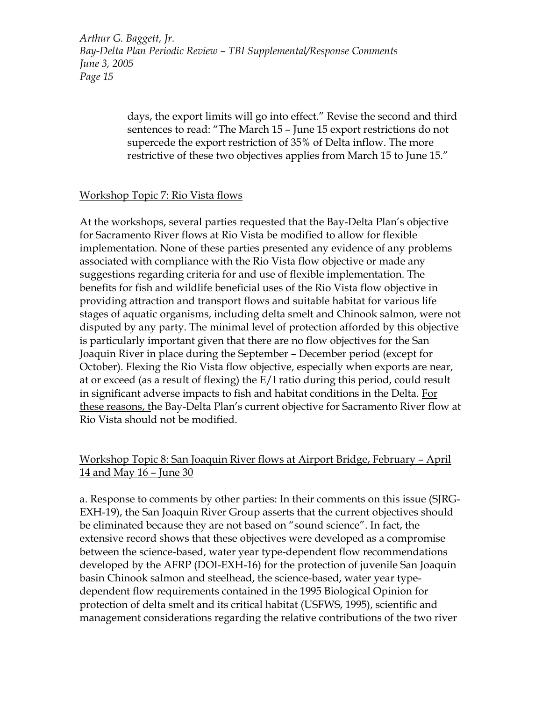> days, the export limits will go into effect." Revise the second and third sentences to read: "The March 15 – June 15 export restrictions do not supercede the export restriction of 35% of Delta inflow. The more restrictive of these two objectives applies from March 15 to June 15."

## Workshop Topic 7: Rio Vista flows

At the workshops, several parties requested that the Bay-Delta Plan's objective for Sacramento River flows at Rio Vista be modified to allow for flexible implementation. None of these parties presented any evidence of any problems associated with compliance with the Rio Vista flow objective or made any suggestions regarding criteria for and use of flexible implementation. The benefits for fish and wildlife beneficial uses of the Rio Vista flow objective in providing attraction and transport flows and suitable habitat for various life stages of aquatic organisms, including delta smelt and Chinook salmon, were not disputed by any party. The minimal level of protection afforded by this objective is particularly important given that there are no flow objectives for the San Joaquin River in place during the September – December period (except for October). Flexing the Rio Vista flow objective, especially when exports are near, at or exceed (as a result of flexing) the E/I ratio during this period, could result in significant adverse impacts to fish and habitat conditions in the Delta. For these reasons, the Bay-Delta Plan's current objective for Sacramento River flow at Rio Vista should not be modified.

# Workshop Topic 8: San Joaquin River flows at Airport Bridge, February – April 14 and May 16 – June 30

a. Response to comments by other parties: In their comments on this issue (SJRG-EXH-19), the San Joaquin River Group asserts that the current objectives should be eliminated because they are not based on "sound science". In fact, the extensive record shows that these objectives were developed as a compromise between the science-based, water year type-dependent flow recommendations developed by the AFRP (DOI-EXH-16) for the protection of juvenile San Joaquin basin Chinook salmon and steelhead, the science-based, water year typedependent flow requirements contained in the 1995 Biological Opinion for protection of delta smelt and its critical habitat (USFWS, 1995), scientific and management considerations regarding the relative contributions of the two river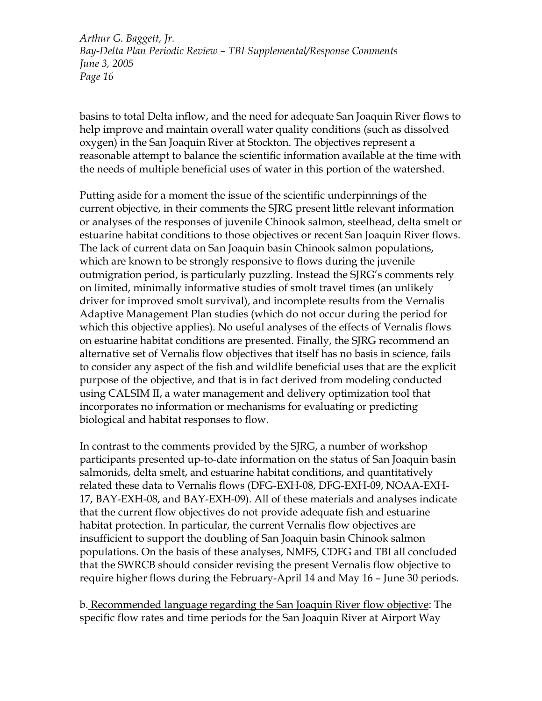basins to total Delta inflow, and the need for adequate San Joaquin River flows to help improve and maintain overall water quality conditions (such as dissolved oxygen) in the San Joaquin River at Stockton. The objectives represent a reasonable attempt to balance the scientific information available at the time with the needs of multiple beneficial uses of water in this portion of the watershed.

Putting aside for a moment the issue of the scientific underpinnings of the current objective, in their comments the SJRG present little relevant information or analyses of the responses of juvenile Chinook salmon, steelhead, delta smelt or estuarine habitat conditions to those objectives or recent San Joaquin River flows. The lack of current data on San Joaquin basin Chinook salmon populations, which are known to be strongly responsive to flows during the juvenile outmigration period, is particularly puzzling. Instead the SJRG's comments rely on limited, minimally informative studies of smolt travel times (an unlikely driver for improved smolt survival), and incomplete results from the Vernalis Adaptive Management Plan studies (which do not occur during the period for which this objective applies). No useful analyses of the effects of Vernalis flows on estuarine habitat conditions are presented. Finally, the SJRG recommend an alternative set of Vernalis flow objectives that itself has no basis in science, fails to consider any aspect of the fish and wildlife beneficial uses that are the explicit purpose of the objective, and that is in fact derived from modeling conducted using CALSIM II, a water management and delivery optimization tool that incorporates no information or mechanisms for evaluating or predicting biological and habitat responses to flow.

In contrast to the comments provided by the SJRG, a number of workshop participants presented up-to-date information on the status of San Joaquin basin salmonids, delta smelt, and estuarine habitat conditions, and quantitatively related these data to Vernalis flows (DFG-EXH-08, DFG-EXH-09, NOAA-EXH-17, BAY-EXH-08, and BAY-EXH-09). All of these materials and analyses indicate that the current flow objectives do not provide adequate fish and estuarine habitat protection. In particular, the current Vernalis flow objectives are insufficient to support the doubling of San Joaquin basin Chinook salmon populations. On the basis of these analyses, NMFS, CDFG and TBI all concluded that the SWRCB should consider revising the present Vernalis flow objective to require higher flows during the February-April 14 and May 16 – June 30 periods.

b. Recommended language regarding the San Joaquin River flow objective: The specific flow rates and time periods for the San Joaquin River at Airport Way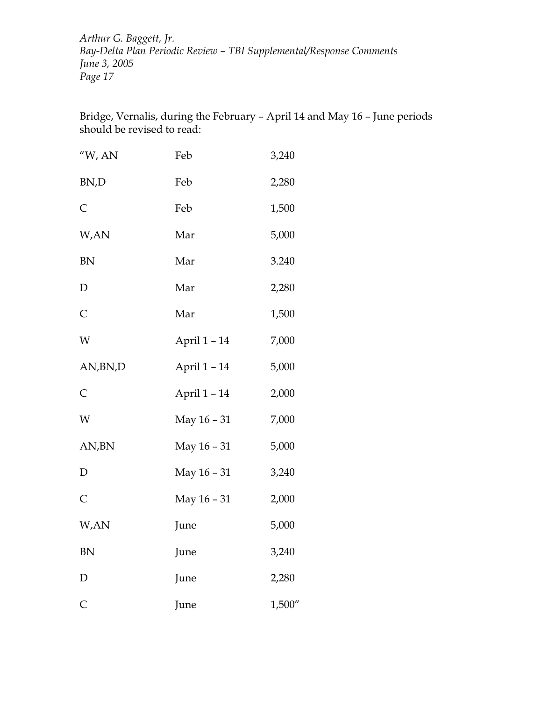Bridge, Vernalis, during the February – April 14 and May 16 – June periods should be revised to read:

| " $W$ , AN   | Feb          | 3,240  |
|--------------|--------------|--------|
| BN,D         | Feb          | 2,280  |
| $\mathsf{C}$ | Feb          | 1,500  |
| W,AN         | Mar          | 5,000  |
| <b>BN</b>    | Mar          | 3.240  |
| ${\rm D}$    | Mar          | 2,280  |
| $\mathsf{C}$ | Mar          | 1,500  |
| W            | April 1 - 14 | 7,000  |
| AN, BN, D    | April 1-14   | 5,000  |
| $\mathsf{C}$ | April 1 - 14 | 2,000  |
| W            | May 16 - 31  | 7,000  |
| AN,BN        | May 16 - 31  | 5,000  |
| $\mathbf D$  | May 16 - 31  | 3,240  |
| $\mathsf{C}$ | May 16 - 31  | 2,000  |
| W,AN         | June         | 5,000  |
| <b>BN</b>    | June         | 3,240  |
| ${\rm D}$    | June         | 2,280  |
| $\mathsf{C}$ | June         | 1,500" |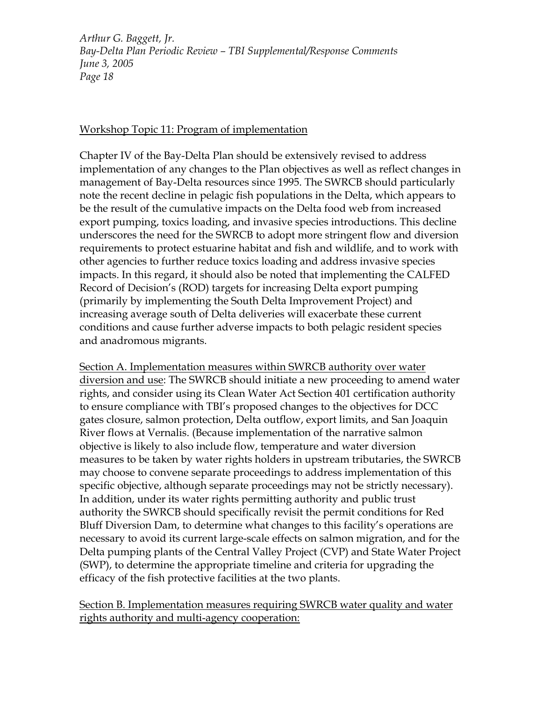## Workshop Topic 11: Program of implementation

Chapter IV of the Bay-Delta Plan should be extensively revised to address implementation of any changes to the Plan objectives as well as reflect changes in management of Bay-Delta resources since 1995. The SWRCB should particularly note the recent decline in pelagic fish populations in the Delta, which appears to be the result of the cumulative impacts on the Delta food web from increased export pumping, toxics loading, and invasive species introductions. This decline underscores the need for the SWRCB to adopt more stringent flow and diversion requirements to protect estuarine habitat and fish and wildlife, and to work with other agencies to further reduce toxics loading and address invasive species impacts. In this regard, it should also be noted that implementing the CALFED Record of Decision's (ROD) targets for increasing Delta export pumping (primarily by implementing the South Delta Improvement Project) and increasing average south of Delta deliveries will exacerbate these current conditions and cause further adverse impacts to both pelagic resident species and anadromous migrants.

Section A. Implementation measures within SWRCB authority over water diversion and use: The SWRCB should initiate a new proceeding to amend water rights, and consider using its Clean Water Act Section 401 certification authority to ensure compliance with TBI's proposed changes to the objectives for DCC gates closure, salmon protection, Delta outflow, export limits, and San Joaquin River flows at Vernalis. (Because implementation of the narrative salmon objective is likely to also include flow, temperature and water diversion measures to be taken by water rights holders in upstream tributaries, the SWRCB may choose to convene separate proceedings to address implementation of this specific objective, although separate proceedings may not be strictly necessary). In addition, under its water rights permitting authority and public trust authority the SWRCB should specifically revisit the permit conditions for Red Bluff Diversion Dam, to determine what changes to this facility's operations are necessary to avoid its current large-scale effects on salmon migration, and for the Delta pumping plants of the Central Valley Project (CVP) and State Water Project (SWP), to determine the appropriate timeline and criteria for upgrading the efficacy of the fish protective facilities at the two plants.

Section B. Implementation measures requiring SWRCB water quality and water rights authority and multi-agency cooperation: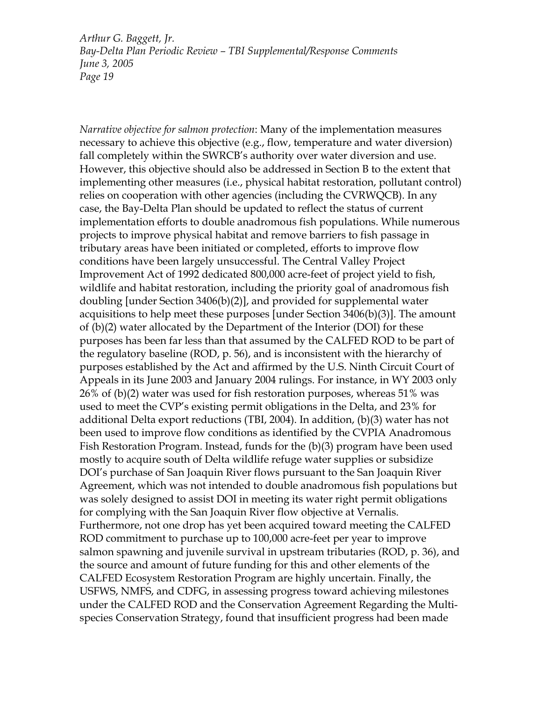*Narrative objective for salmon protection*: Many of the implementation measures necessary to achieve this objective (e.g., flow, temperature and water diversion) fall completely within the SWRCB's authority over water diversion and use. However, this objective should also be addressed in Section B to the extent that implementing other measures (i.e., physical habitat restoration, pollutant control) relies on cooperation with other agencies (including the CVRWQCB). In any case, the Bay-Delta Plan should be updated to reflect the status of current implementation efforts to double anadromous fish populations. While numerous projects to improve physical habitat and remove barriers to fish passage in tributary areas have been initiated or completed, efforts to improve flow conditions have been largely unsuccessful. The Central Valley Project Improvement Act of 1992 dedicated 800,000 acre-feet of project yield to fish, wildlife and habitat restoration, including the priority goal of anadromous fish doubling [under Section 3406(b)(2)], and provided for supplemental water acquisitions to help meet these purposes [under Section 3406(b)(3)]. The amount of (b)(2) water allocated by the Department of the Interior (DOI) for these purposes has been far less than that assumed by the CALFED ROD to be part of the regulatory baseline (ROD, p. 56), and is inconsistent with the hierarchy of purposes established by the Act and affirmed by the U.S. Ninth Circuit Court of Appeals in its June 2003 and January 2004 rulings. For instance, in WY 2003 only 26% of (b)(2) water was used for fish restoration purposes, whereas 51% was used to meet the CVP's existing permit obligations in the Delta, and 23% for additional Delta export reductions (TBI, 2004). In addition, (b)(3) water has not been used to improve flow conditions as identified by the CVPIA Anadromous Fish Restoration Program. Instead, funds for the (b)(3) program have been used mostly to acquire south of Delta wildlife refuge water supplies or subsidize DOI's purchase of San Joaquin River flows pursuant to the San Joaquin River Agreement, which was not intended to double anadromous fish populations but was solely designed to assist DOI in meeting its water right permit obligations for complying with the San Joaquin River flow objective at Vernalis. Furthermore, not one drop has yet been acquired toward meeting the CALFED ROD commitment to purchase up to 100,000 acre-feet per year to improve salmon spawning and juvenile survival in upstream tributaries (ROD, p. 36), and the source and amount of future funding for this and other elements of the CALFED Ecosystem Restoration Program are highly uncertain. Finally, the USFWS, NMFS, and CDFG, in assessing progress toward achieving milestones under the CALFED ROD and the Conservation Agreement Regarding the Multispecies Conservation Strategy, found that insufficient progress had been made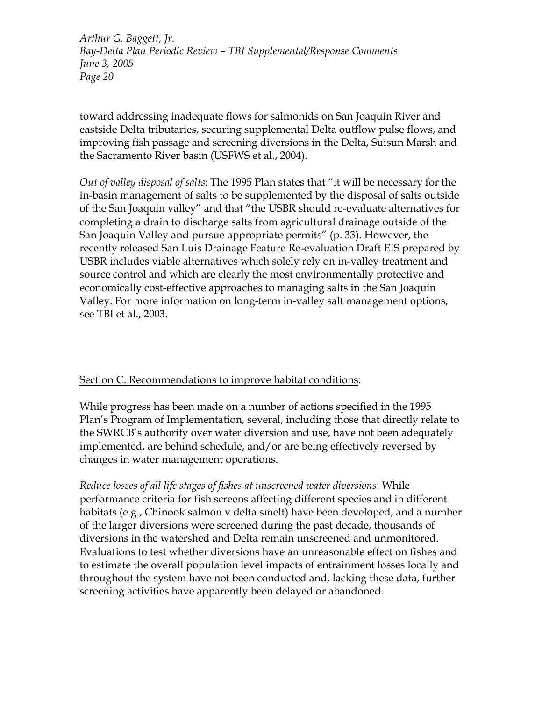toward addressing inadequate flows for salmonids on San Joaquin River and eastside Delta tributaries, securing supplemental Delta outflow pulse flows, and improving fish passage and screening diversions in the Delta, Suisun Marsh and the Sacramento River basin (USFWS et al., 2004).

*Out of valley disposal of salts*: The 1995 Plan states that "it will be necessary for the in-basin management of salts to be supplemented by the disposal of salts outside of the San Joaquin valley" and that "the USBR should re-evaluate alternatives for completing a drain to discharge salts from agricultural drainage outside of the San Joaquin Valley and pursue appropriate permits" (p. 33). However, the recently released San Luis Drainage Feature Re-evaluation Draft EIS prepared by USBR includes viable alternatives which solely rely on in-valley treatment and source control and which are clearly the most environmentally protective and economically cost-effective approaches to managing salts in the San Joaquin Valley. For more information on long-term in-valley salt management options, see TBI et al., 2003.

## Section C. Recommendations to improve habitat conditions:

While progress has been made on a number of actions specified in the 1995 Plan's Program of Implementation, several, including those that directly relate to the SWRCB's authority over water diversion and use, have not been adequately implemented, are behind schedule, and/or are being effectively reversed by changes in water management operations.

*Reduce losses of all life stages of fishes at unscreened water diversions*: While performance criteria for fish screens affecting different species and in different habitats (e.g., Chinook salmon v delta smelt) have been developed, and a number of the larger diversions were screened during the past decade, thousands of diversions in the watershed and Delta remain unscreened and unmonitored. Evaluations to test whether diversions have an unreasonable effect on fishes and to estimate the overall population level impacts of entrainment losses locally and throughout the system have not been conducted and, lacking these data, further screening activities have apparently been delayed or abandoned.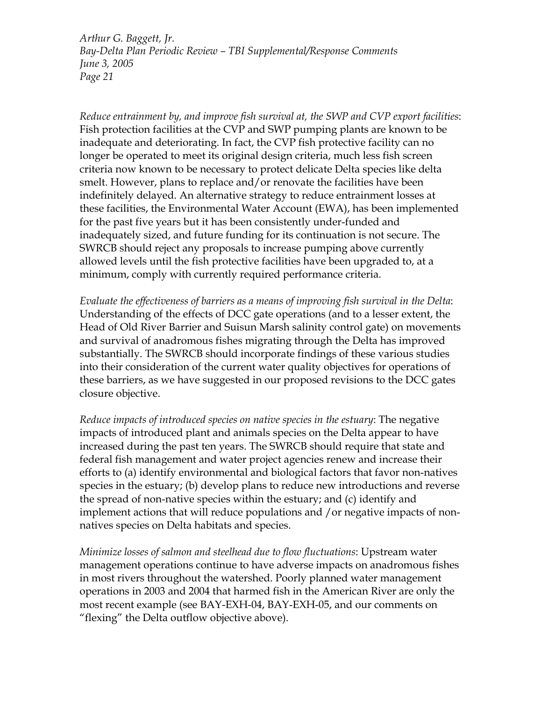*Reduce entrainment by, and improve fish survival at, the SWP and CVP export facilities*: Fish protection facilities at the CVP and SWP pumping plants are known to be inadequate and deteriorating. In fact, the CVP fish protective facility can no longer be operated to meet its original design criteria, much less fish screen criteria now known to be necessary to protect delicate Delta species like delta smelt. However, plans to replace and/or renovate the facilities have been indefinitely delayed. An alternative strategy to reduce entrainment losses at these facilities, the Environmental Water Account (EWA), has been implemented for the past five years but it has been consistently under-funded and inadequately sized, and future funding for its continuation is not secure. The SWRCB should reject any proposals to increase pumping above currently allowed levels until the fish protective facilities have been upgraded to, at a minimum, comply with currently required performance criteria.

*Evaluate the effectiveness of barriers as a means of improving fish survival in the Delta*: Understanding of the effects of DCC gate operations (and to a lesser extent, the Head of Old River Barrier and Suisun Marsh salinity control gate) on movements and survival of anadromous fishes migrating through the Delta has improved substantially. The SWRCB should incorporate findings of these various studies into their consideration of the current water quality objectives for operations of these barriers, as we have suggested in our proposed revisions to the DCC gates closure objective.

*Reduce impacts of introduced species on native species in the estuary*: The negative impacts of introduced plant and animals species on the Delta appear to have increased during the past ten years. The SWRCB should require that state and federal fish management and water project agencies renew and increase their efforts to (a) identify environmental and biological factors that favor non-natives species in the estuary; (b) develop plans to reduce new introductions and reverse the spread of non-native species within the estuary; and (c) identify and implement actions that will reduce populations and /or negative impacts of nonnatives species on Delta habitats and species.

*Minimize losses of salmon and steelhead due to flow fluctuations*: Upstream water management operations continue to have adverse impacts on anadromous fishes in most rivers throughout the watershed. Poorly planned water management operations in 2003 and 2004 that harmed fish in the American River are only the most recent example (see BAY-EXH-04, BAY-EXH-05, and our comments on "flexing" the Delta outflow objective above).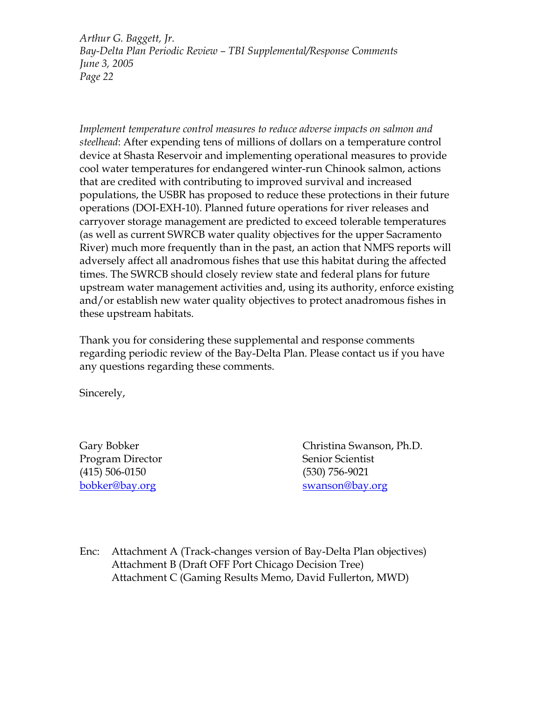*Implement temperature control measures to reduce adverse impacts on salmon and steelhead*: After expending tens of millions of dollars on a temperature control device at Shasta Reservoir and implementing operational measures to provide cool water temperatures for endangered winter-run Chinook salmon, actions that are credited with contributing to improved survival and increased populations, the USBR has proposed to reduce these protections in their future operations (DOI-EXH-10). Planned future operations for river releases and carryover storage management are predicted to exceed tolerable temperatures (as well as current SWRCB water quality objectives for the upper Sacramento River) much more frequently than in the past, an action that NMFS reports will adversely affect all anadromous fishes that use this habitat during the affected times. The SWRCB should closely review state and federal plans for future upstream water management activities and, using its authority, enforce existing and/or establish new water quality objectives to protect anadromous fishes in these upstream habitats.

Thank you for considering these supplemental and response comments regarding periodic review of the Bay-Delta Plan. Please contact us if you have any questions regarding these comments.

Sincerely,

Program Director Senior Senior Scientist (415) 506-0150 (530) 756-9021

Gary Bobker Christina Swanson, Ph.D. [bobker@bay.org](mailto:bobker@bay.org) [swanson@bay.org](mailto:swanson@bay.org)

Enc: Attachment A (Track-changes version of Bay-Delta Plan objectives) Attachment B (Draft OFF Port Chicago Decision Tree) Attachment C (Gaming Results Memo, David Fullerton, MWD)